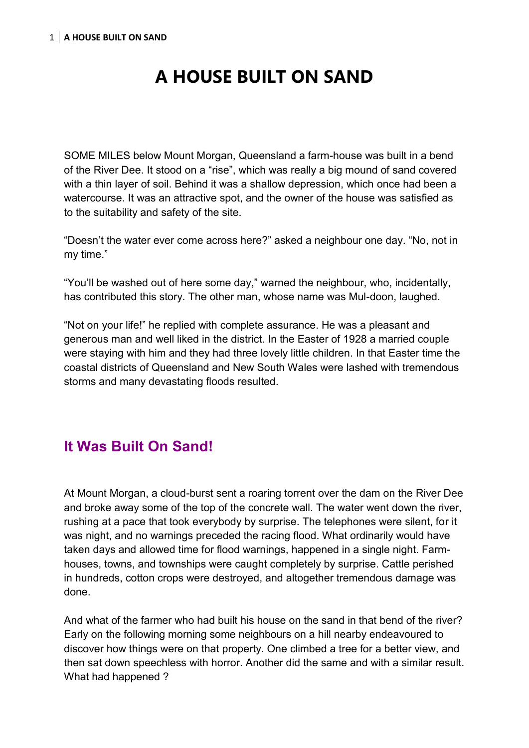# **A HOUSE BUILT ON SAND**

SOME MILES below Mount Morgan, Queensland a farm-house was built in a bend of the River Dee. It stood on a "rise", which was really a big mound of sand covered with a thin layer of soil. Behind it was a shallow depression, which once had been a watercourse. It was an attractive spot, and the owner of the house was satisfied as to the suitability and safety of the site.

"Doesn't the water ever come across here?" asked a neighbour one day. "No, not in my time."

"You'll be washed out of here some day," warned the neighbour, who, incidentally, has contributed this story. The other man, whose name was Mul-doon, laughed.

"Not on your life!" he replied with complete assurance. He was a pleasant and generous man and well liked in the district. In the Easter of 1928 a married couple were staying with him and they had three lovely little children. In that Easter time the coastal districts of Queensland and New South Wales were lashed with tremendous storms and many devastating floods resulted.

# **It Was Built On Sand!**

At Mount Morgan, a cloud-burst sent a roaring torrent over the dam on the River Dee and broke away some of the top of the concrete wall. The water went down the river, rushing at a pace that took everybody by surprise. The telephones were silent, for it was night, and no warnings preceded the racing flood. What ordinarily would have taken days and allowed time for flood warnings, happened in a single night. Farmhouses, towns, and townships were caught completely by surprise. Cattle perished in hundreds, cotton crops were destroyed, and altogether tremendous damage was done.

And what of the farmer who had built his house on the sand in that bend of the river? Early on the following morning some neighbours on a hill nearby endeavoured to discover how things were on that property. One climbed a tree for a better view, and then sat down speechless with horror. Another did the same and with a similar result. What had happened ?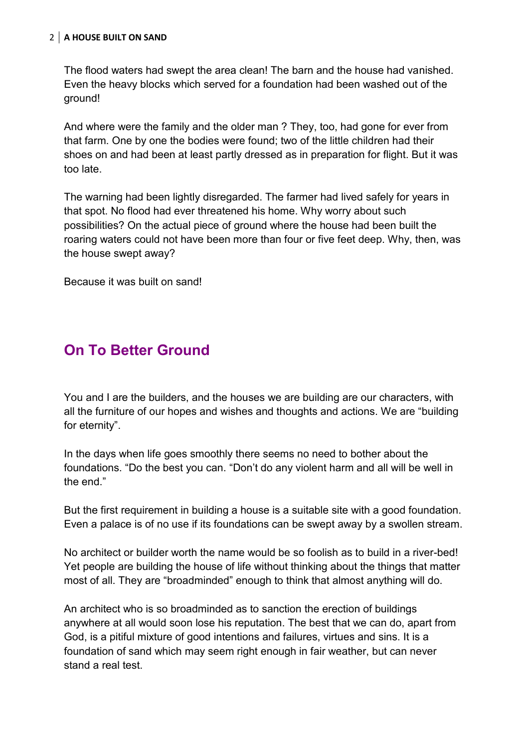#### 2 **A HOUSE BUILT ON SAND**

The flood waters had swept the area clean! The barn and the house had vanished. Even the heavy blocks which served for a foundation had been washed out of the ground!

And where were the family and the older man ? They, too, had gone for ever from that farm. One by one the bodies were found; two of the little children had their shoes on and had been at least partly dressed as in preparation for flight. But it was too late.

The warning had been lightly disregarded. The farmer had lived safely for years in that spot. No flood had ever threatened his home. Why worry about such possibilities? On the actual piece of ground where the house had been built the roaring waters could not have been more than four or five feet deep. Why, then, was the house swept away?

Because it was built on sand!

## **On To Better Ground**

You and I are the builders, and the houses we are building are our characters, with all the furniture of our hopes and wishes and thoughts and actions. We are "building for eternity".

In the days when life goes smoothly there seems no need to bother about the foundations. "Do the best you can. "Don't do any violent harm and all will be well in the end."

But the first requirement in building a house is a suitable site with a good foundation. Even a palace is of no use if its foundations can be swept away by a swollen stream.

No architect or builder worth the name would be so foolish as to build in a river-bed! Yet people are building the house of life without thinking about the things that matter most of all. They are "broadminded" enough to think that almost anything will do.

An architect who is so broadminded as to sanction the erection of buildings anywhere at all would soon lose his reputation. The best that we can do, apart from God, is a pitiful mixture of good intentions and failures, virtues and sins. It is a foundation of sand which may seem right enough in fair weather, but can never stand a real test.